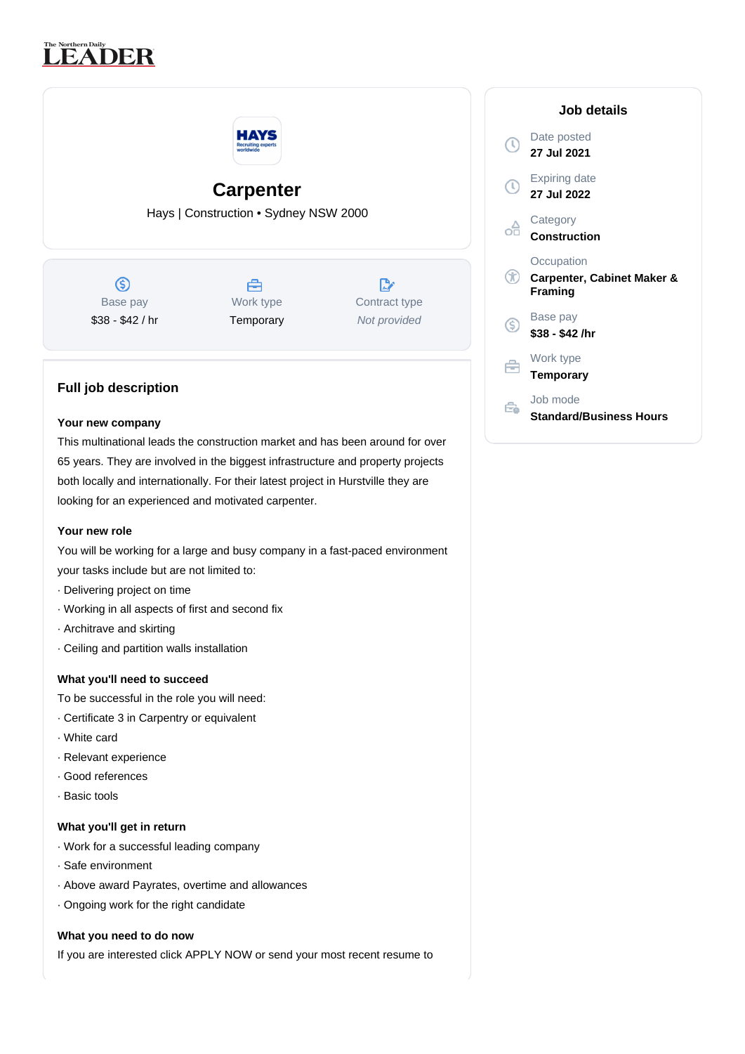# The Northern Daily<br>
LEADER



## **Carpenter**

Hays | Construction • Sydney NSW 2000

 $\circledS$ Base pay \$38 - \$42 / hr



 $\mathbb{R}^n$ Contract type Not provided

### **Full job description**

#### **Your new company**

This multinational leads the construction market and has been around for over 65 years. They are involved in the biggest infrastructure and property projects both locally and internationally. For their latest project in Hurstville they are looking for an experienced and motivated carpenter.

#### **Your new role**

You will be working for a large and busy company in a fast-paced environment your tasks include but are not limited to:

- · Delivering project on time
- · Working in all aspects of first and second fix
- · Architrave and skirting
- · Ceiling and partition walls installation

#### **What you'll need to succeed**

- To be successful in the role you will need:
- · Certificate 3 in Carpentry or equivalent
- · White card
- · Relevant experience
- · Good references
- · Basic tools

#### **What you'll get in return**

- · Work for a successful leading company
- · Safe environment
- · Above award Payrates, overtime and allowances
- · Ongoing work for the right candidate

#### **What you need to do now**

If you are interested click APPLY NOW or send your most recent resume to

|    | Job details                                         |
|----|-----------------------------------------------------|
|    | Date posted<br>27 Jul 2021                          |
|    | Expiring date<br>27 Jul 2022                        |
|    | Category<br><b>Construction</b>                     |
| Œ  | Occupation<br>Carpenter, Cabinet Maker &<br>Framing |
| 'S | Base pay<br>\$38 - \$42 /hr                         |
|    | Work type<br>Temporary                              |
|    | Job mode<br><b>Standard/Business Hours</b>          |